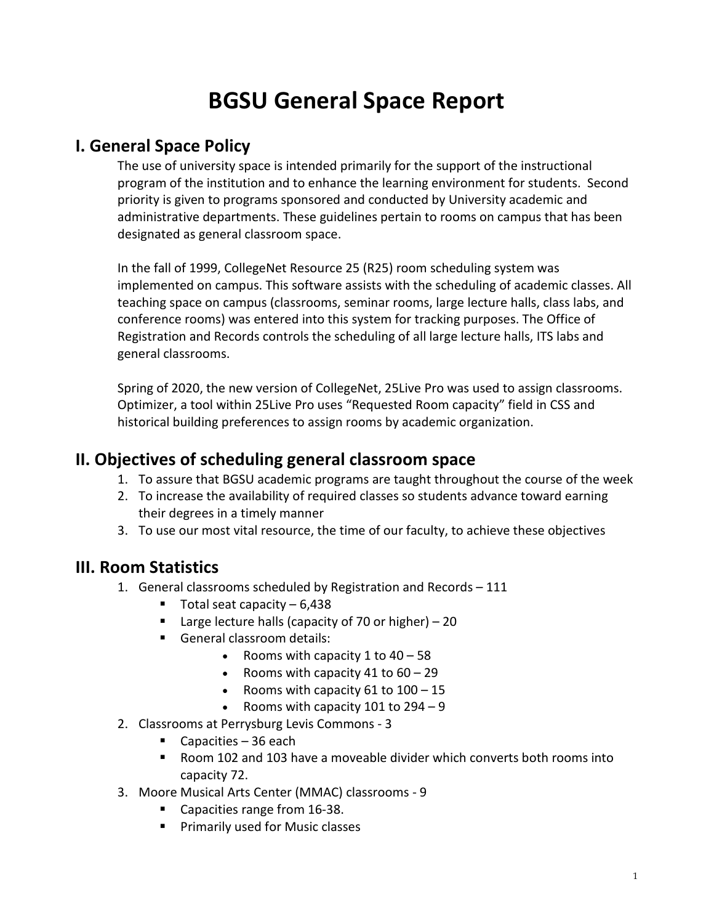# **BGSU General Space Report**

### **I. General Space Policy**

The use of university space is intended primarily for the support of the instructional program of the institution and to enhance the learning environment for students. Second priority is given to programs sponsored and conducted by University academic and administrative departments. These guidelines pertain to rooms on campus that has been designated as general classroom space.

In the fall of 1999, CollegeNet Resource 25 (R25) room scheduling system was implemented on campus. This software assists with the scheduling of academic classes. All teaching space on campus (classrooms, seminar rooms, large lecture halls, class labs, and conference rooms) was entered into this system for tracking purposes. The Office of Registration and Records controls the scheduling of all large lecture halls, ITS labs and general classrooms.

Spring of 2020, the new version of CollegeNet, 25Live Pro was used to assign classrooms. Optimizer, a tool within 25Live Pro uses "Requested Room capacity" field in CSS and historical building preferences to assign rooms by academic organization.

#### **II. Objectives of scheduling general classroom space**

- 1. To assure that BGSU academic programs are taught throughout the course of the week
- 2. To increase the availability of required classes so students advance toward earning their degrees in a timely manner
- 3. To use our most vital resource, the time of our faculty, to achieve these objectives

#### **III. Room Statistics**

- 1. General classrooms scheduled by Registration and Records 111
	- $\blacksquare$  Total seat capacity 6,438
	- **Large lecture halls (capacity of 70 or higher)**  $-20$
	- General classroom details:
		- Rooms with capacity  $1$  to  $40 58$
		- Rooms with capacity 41 to  $60 29$
		- Rooms with capacity 61 to  $100 15$
		- Rooms with capacity 101 to  $294 9$
- 2. Classrooms at Perrysburg Levis Commons 3
	- Capacities  $-36$  each
	- Room 102 and 103 have a moveable divider which converts both rooms into capacity 72.
- 3. Moore Musical Arts Center (MMAC) classrooms 9
	- Capacities range from 16-38.
	- **Primarily used for Music classes**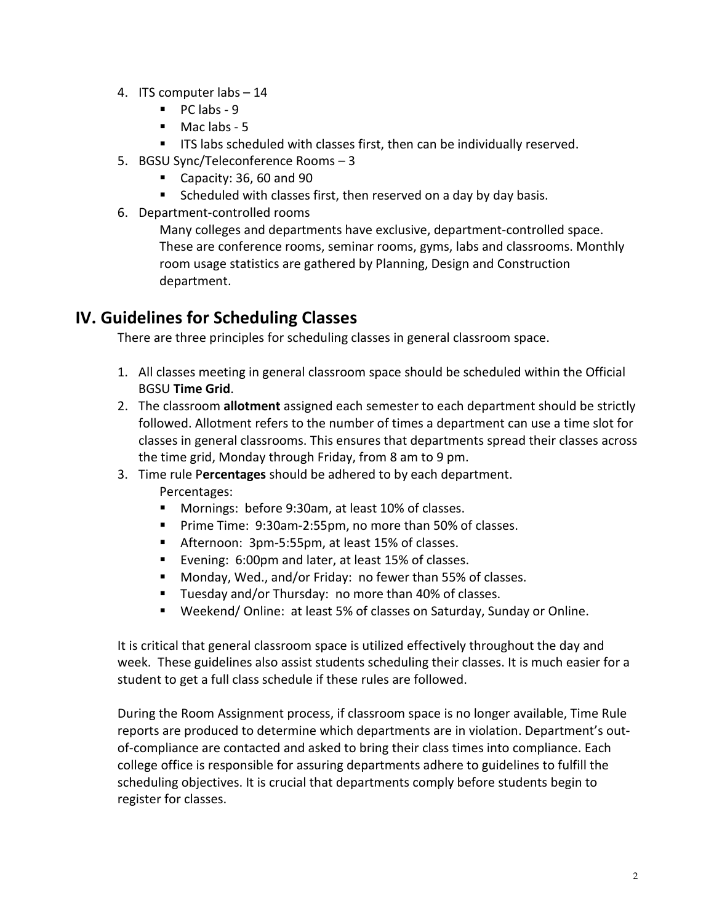- 4. ITS computer labs 14
	- $\blacksquare$  PC labs 9
	- $\blacksquare$  Mac labs 5
	- **ITS labs scheduled with classes first, then can be individually reserved.**
- 5. BGSU Sync/Teleconference Rooms 3
	- Capacity: 36, 60 and 90
	- Scheduled with classes first, then reserved on a day by day basis.
- 6. Department-controlled rooms

Many colleges and departments have exclusive, department-controlled space. These are conference rooms, seminar rooms, gyms, labs and classrooms. Monthly room usage statistics are gathered by Planning, Design and Construction department.

## **IV. Guidelines for Scheduling Classes**

There are three principles for scheduling classes in general classroom space.

- 1. All classes meeting in general classroom space should be scheduled within the Official BGSU **Time Grid**.
- 2. The classroom **allotment** assigned each semester to each department should be strictly followed. Allotment refers to the number of times a department can use a time slot for classes in general classrooms. This ensures that departments spread their classes across the time grid, Monday through Friday, from 8 am to 9 pm.
- 3. Time rule P**ercentages** should be adhered to by each department. Percentages:
	- **Mornings: before 9:30am, at least 10% of classes.**
	- **Prime Time: 9:30am-2:55pm, no more than 50% of classes.**
	- Afternoon: 3pm-5:55pm, at least 15% of classes.
	- Evening: 6:00pm and later, at least 15% of classes.
	- Monday, Wed., and/or Friday: no fewer than 55% of classes.
	- **Tuesday and/or Thursday: no more than 40% of classes.**
	- Weekend/ Online: at least 5% of classes on Saturday, Sunday or Online.

It is critical that general classroom space is utilized effectively throughout the day and week. These guidelines also assist students scheduling their classes. It is much easier for a student to get a full class schedule if these rules are followed.

During the Room Assignment process, if classroom space is no longer available, Time Rule reports are produced to determine which departments are in violation. Department's outof-compliance are contacted and asked to bring their class times into compliance. Each college office is responsible for assuring departments adhere to guidelines to fulfill the scheduling objectives. It is crucial that departments comply before students begin to register for classes.